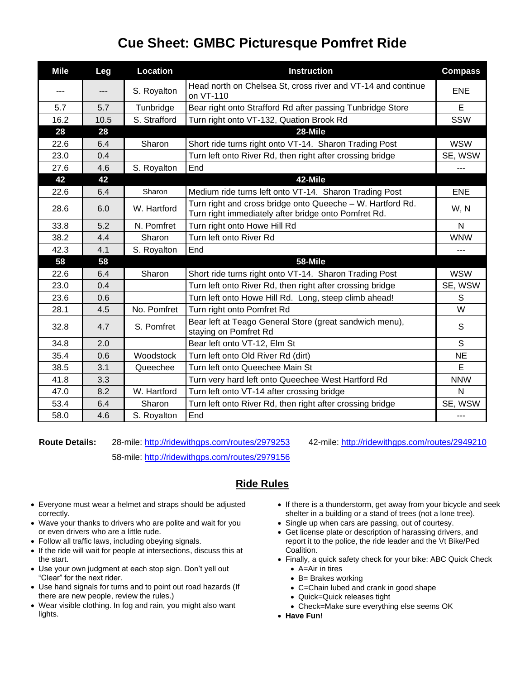## **Cue Sheet: GMBC Picturesque Pomfret Ride**

| <b>Mile</b> | Leg   | <b>Location</b> | <b>Instruction</b>                                                                                                 | <b>Compass</b> |
|-------------|-------|-----------------|--------------------------------------------------------------------------------------------------------------------|----------------|
| ---         | $---$ | S. Royalton     | Head north on Chelsea St, cross river and VT-14 and continue<br>on VT-110                                          | <b>ENE</b>     |
| 5.7         | 5.7   | Tunbridge       | Bear right onto Strafford Rd after passing Tunbridge Store                                                         | E              |
| 16.2        | 10.5  | S. Strafford    | Turn right onto VT-132, Quation Brook Rd                                                                           | SSW            |
| 28          | 28    |                 | 28-Mile                                                                                                            |                |
| 22.6        | 6.4   | Sharon          | Short ride turns right onto VT-14. Sharon Trading Post                                                             | <b>WSW</b>     |
| 23.0        | 0.4   |                 | Turn left onto River Rd, then right after crossing bridge                                                          | SE, WSW        |
| 27.6        | 4.6   | S. Royalton     | End                                                                                                                | ---            |
| 42          | 42    |                 | 42-Mile                                                                                                            |                |
| 22.6        | 6.4   | Sharon          | Medium ride turns left onto VT-14. Sharon Trading Post                                                             | <b>ENE</b>     |
| 28.6        | 6.0   | W. Hartford     | Turn right and cross bridge onto Queeche - W. Hartford Rd.<br>Turn right immediately after bridge onto Pomfret Rd. | W, N           |
| 33.8        | 5.2   | N. Pomfret      | Turn right onto Howe Hill Rd                                                                                       | N              |
| 38.2        | 4.4   | Sharon          | Turn left onto River Rd                                                                                            | <b>WNW</b>     |
| 42.3        | 4.1   | S. Royalton     | End                                                                                                                | ---            |
| 58          | 58    |                 | 58-Mile                                                                                                            |                |
| 22.6        | 6.4   | Sharon          | Short ride turns right onto VT-14. Sharon Trading Post                                                             | <b>WSW</b>     |
| 23.0        | 0.4   |                 | Turn left onto River Rd, then right after crossing bridge                                                          | SE, WSW        |
| 23.6        | 0.6   |                 | Turn left onto Howe Hill Rd. Long, steep climb ahead!                                                              | S              |
| 28.1        | 4.5   | No. Pomfret     | Turn right onto Pomfret Rd                                                                                         | W              |
| 32.8        | 4.7   | S. Pomfret      | Bear left at Teago General Store (great sandwich menu),<br>staying on Pomfret Rd                                   | S              |
| 34.8        | 2.0   |                 | Bear left onto VT-12, Elm St                                                                                       | S              |
| 35.4        | 0.6   | Woodstock       | Turn left onto Old River Rd (dirt)                                                                                 | <b>NE</b>      |
| 38.5        | 3.1   | Queechee        | Turn left onto Queechee Main St                                                                                    | E              |
| 41.8        | 3.3   |                 | Turn very hard left onto Queechee West Hartford Rd                                                                 | <b>NNW</b>     |
| 47.0        | 8.2   | W. Hartford     | Turn left onto VT-14 after crossing bridge                                                                         | N              |
| 53.4        | 6.4   | Sharon          | Turn left onto River Rd, then right after crossing bridge                                                          | SE, WSW        |
| 58.0        | 4.6   | S. Royalton     | End                                                                                                                | ---            |

58-mile:<http://ridewithgps.com/routes/2979156>

**Route Details:** 28-mile:<http://ridewithgps.com/routes/2979253> 42-mile:<http://ridewithgps.com/routes/2949210>

## **Ride Rules**

- Everyone must wear a helmet and straps should be adjusted correctly.
- Wave your thanks to drivers who are polite and wait for you or even drivers who are a little rude.
- Follow all traffic laws, including obeying signals.
- If the ride will wait for people at intersections, discuss this at the start.
- Use your own judgment at each stop sign. Don't yell out "Clear" for the next rider.
- Use hand signals for turns and to point out road hazards (If there are new people, review the rules.)
- Wear visible clothing. In fog and rain, you might also want lights.
- If there is a thunderstorm, get away from your bicycle and seek shelter in a building or a stand of trees (not a lone tree).
- Single up when cars are passing, out of courtesy.
- Get license plate or description of harassing drivers, and report it to the police, the ride leader and the Vt Bike/Ped Coalition.
- Finally, a quick safety check for your bike: ABC Quick Check • A=Air in tires
	- B= Brakes working
	- C=Chain lubed and crank in good shape
	- Quick=Quick releases tight
	- Check=Make sure everything else seems OK
- **Have Fun!**